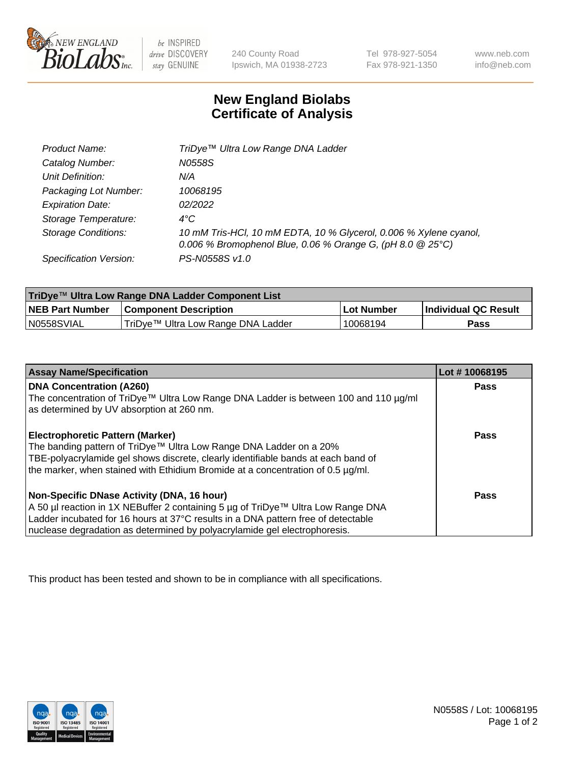

 $be$  INSPIRED drive DISCOVERY stay GENUINE

240 County Road Ipswich, MA 01938-2723 Tel 978-927-5054 Fax 978-921-1350 www.neb.com info@neb.com

## **New England Biolabs Certificate of Analysis**

| Product Name:              | TriDye™ Ultra Low Range DNA Ladder                                                                                                |
|----------------------------|-----------------------------------------------------------------------------------------------------------------------------------|
| Catalog Number:            | N0558S                                                                                                                            |
| Unit Definition:           | N/A                                                                                                                               |
| Packaging Lot Number:      | 10068195                                                                                                                          |
| <b>Expiration Date:</b>    | 02/2022                                                                                                                           |
| Storage Temperature:       | $4^{\circ}$ C                                                                                                                     |
| <b>Storage Conditions:</b> | 10 mM Tris-HCl, 10 mM EDTA, 10 % Glycerol, 0.006 % Xylene cyanol,<br>0.006 % Bromophenol Blue, 0.06 % Orange G, (pH 8.0 $@25°C$ ) |
| Specification Version:     | PS-N0558S v1.0                                                                                                                    |

| TriDye™ Ultra Low Range DNA Ladder Component List |                                      |            |                      |  |
|---------------------------------------------------|--------------------------------------|------------|----------------------|--|
| <b>NEB Part Number</b>                            | <b>Component Description</b>         | Lot Number | Individual QC Result |  |
| N0558SVIAL                                        | I TriDye™ Ultra Low Range DNA Ladder | 10068194   | Pass                 |  |

| <b>Assay Name/Specification</b>                                                                                                   | Lot #10068195 |
|-----------------------------------------------------------------------------------------------------------------------------------|---------------|
| <b>DNA Concentration (A260)</b>                                                                                                   | <b>Pass</b>   |
| The concentration of TriDye™ Ultra Low Range DNA Ladder is between 100 and 110 µg/ml<br>as determined by UV absorption at 260 nm. |               |
| <b>Electrophoretic Pattern (Marker)</b>                                                                                           | Pass          |
| The banding pattern of TriDye™ Ultra Low Range DNA Ladder on a 20%                                                                |               |
| TBE-polyacrylamide gel shows discrete, clearly identifiable bands at each band of                                                 |               |
| the marker, when stained with Ethidium Bromide at a concentration of 0.5 µg/ml.                                                   |               |
| Non-Specific DNase Activity (DNA, 16 hour)                                                                                        | <b>Pass</b>   |
| A 50 µl reaction in 1X NEBuffer 2 containing 5 µg of TriDye™ Ultra Low Range DNA                                                  |               |
| Ladder incubated for 16 hours at 37°C results in a DNA pattern free of detectable                                                 |               |
| nuclease degradation as determined by polyacrylamide gel electrophoresis.                                                         |               |

This product has been tested and shown to be in compliance with all specifications.